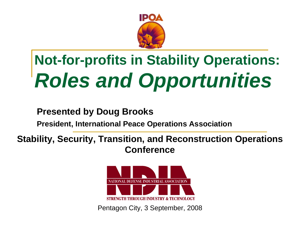

# **Not-for-profits in Stability Operations:**  *Roles and Opportunities*

#### **Presented by Doug Brooks**

**President, International Peace Operations Association**

**Stability, Security, Transition, and Reconstruction Operations Conference**



Pentagon City, 3 September, 2008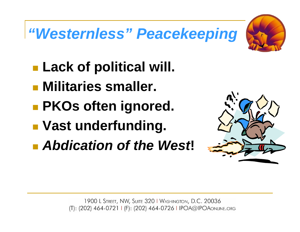

## *"Westernless" Peacekeeping*

- pa.<br>Kabupatèn **Lack of political will.**
- **Militaries smaller.**
- pa.<br>Kabupatèn **PKOs often ignored.**
- parties<br>Parties **Vast underfunding.**
- *Abdication of the West***!**



1900 L STREET, NW, SUITE 320 | WASHINGTON, D.C. 20036 (T): (202) 464-0721 | (F): (202) 464-0726 | IPOA@IPOAONLINE.ORG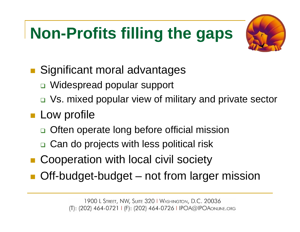# **Non-Profits filling the gaps**



- ■ Significant moral advantages
	- □ Widespread popular support
	- □ Vs. mixed popular view of military and private sector

### **Low profile**

- $\Box$ Often operate long before official mission
- □ Can do projects with less political risk
- Cooperation with local civil society
- Off-budget-budget not from larger mission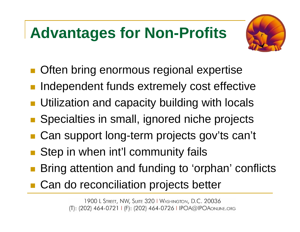# **Advantages for Non-Profits**



- Often bring enormous regional expertise
- Independent funds extremely cost effective
- **Utilization and capacity building with locals**
- **Specialties in small, ignored niche projects**
- Can support long-term projects gov'ts can't
- Step in when int'l community fails
- Bring attention and funding to 'orphan' conflicts
- Can do reconciliation projects better

1900 L STREET, NW, SUITE 320 | WASHINGTON, D.C. 20036 (T): (202) 464-0721 | (F): (202) 464-0726 | IPOA@IPOAONLINE.ORG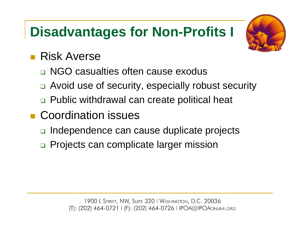### **Disadvantages for Non-Profits I**



- Risk Averse
	- □ NGO casualties often cause exodus
	- □ Avoid use of security, especially robust security
	- □ Public withdrawal can create political heat
- **E** Coordination issues
	- $\Box$  Independence can cause duplicate projects
	- □ Projects can complicate larger mission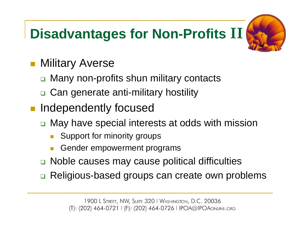## **Disadvantages for Non-Profits II**

- Military Averse
	- Many non-profits shun military contacts
	- □ Can generate anti-military hostility
- **Independently focused** 
	- May have special interests at odds with mission
		- П Support for minority groups
		- $\Box$ Gender empowerment programs
	- □ Noble causes may cause political difficulties
	- $\Box$ Religious-based groups can create own problems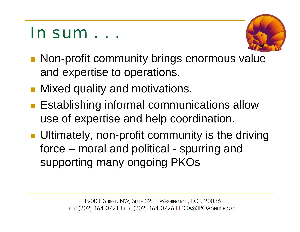### In sum . . .



- **Non-profit community brings enormous value** and expertise to operations.
- **Nixed quality and motivations.**
- **Establishing informal communications allow** use of expertise and help coordination.
- **Ultimately, non-profit community is the driving** force – moral and political - spurring and supporting many ongoing PKOs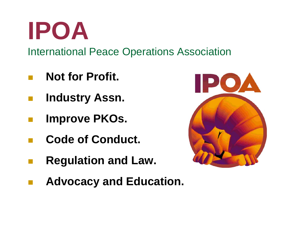

### International Peace Operations Association

- **Not for Profit.**
- **Industry Assn.**
- **Improve PKOs.**
- **Code of Conduct.**
- **Service Service Regulation and Law.**
- **Advocacy and Education.**